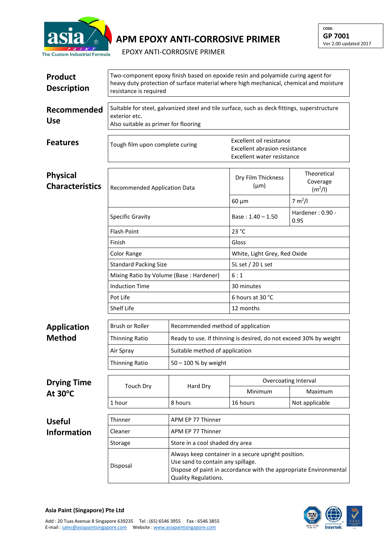

## **APM EPOXY ANTI-CORROSIVE PRIMER**

EPOXY ANTI-CORROSIVE PRIMER

| <b>Product</b><br><b>Description</b>      | Two-component epoxy finish based on epoxide resin and polyamide curing agent for<br>heavy duty protection of surface material where high mechanical, chemical and moisture<br>resistance is required |                                                                                                                                                                                       |                                                                                         |                                                |  |  |
|-------------------------------------------|------------------------------------------------------------------------------------------------------------------------------------------------------------------------------------------------------|---------------------------------------------------------------------------------------------------------------------------------------------------------------------------------------|-----------------------------------------------------------------------------------------|------------------------------------------------|--|--|
| Recommended<br><b>Use</b>                 | Suitable for steel, galvanized steel and tile surface, such as deck fittings, superstructure<br>exterior etc.<br>Also suitable as primer for flooring                                                |                                                                                                                                                                                       |                                                                                         |                                                |  |  |
| <b>Features</b>                           | Tough film upon complete curing                                                                                                                                                                      |                                                                                                                                                                                       | Excellent oil resistance<br>Excellent abrasion resistance<br>Excellent water resistance |                                                |  |  |
| <b>Physical</b><br><b>Characteristics</b> | Recommended Application Data                                                                                                                                                                         |                                                                                                                                                                                       | Dry Film Thickness<br>$(\mu m)$                                                         | Theoretical<br>Coverage<br>(m <sup>2</sup> /I) |  |  |
|                                           |                                                                                                                                                                                                      |                                                                                                                                                                                       | $60 \mu m$                                                                              | 7 m <sup>2</sup> /I                            |  |  |
|                                           | <b>Specific Gravity</b>                                                                                                                                                                              |                                                                                                                                                                                       | Base: $1.40 - 1.50$                                                                     | Hardener: 0.90 -<br>0.95                       |  |  |
|                                           | <b>Flash Point</b>                                                                                                                                                                                   |                                                                                                                                                                                       | 23 °C                                                                                   |                                                |  |  |
|                                           | Finish                                                                                                                                                                                               |                                                                                                                                                                                       | Gloss                                                                                   |                                                |  |  |
|                                           | Color Range                                                                                                                                                                                          |                                                                                                                                                                                       | White, Light Grey, Red Oxide                                                            |                                                |  |  |
|                                           | <b>Standard Packing Size</b>                                                                                                                                                                         |                                                                                                                                                                                       | 5L set / 20 L set                                                                       |                                                |  |  |
|                                           | Mixing Ratio by Volume (Base: Hardener)                                                                                                                                                              |                                                                                                                                                                                       | 6:1                                                                                     |                                                |  |  |
|                                           | <b>Induction Time</b>                                                                                                                                                                                |                                                                                                                                                                                       | 30 minutes                                                                              |                                                |  |  |
|                                           | Pot Life                                                                                                                                                                                             |                                                                                                                                                                                       | 6 hours at 30 °C                                                                        |                                                |  |  |
|                                           | Shelf Life                                                                                                                                                                                           |                                                                                                                                                                                       | 12 months                                                                               |                                                |  |  |
| <b>Application</b>                        | <b>Brush or Roller</b>                                                                                                                                                                               | Recommended method of application                                                                                                                                                     | Ready to use. If thinning is desired, do not exceed 30% by weight                       |                                                |  |  |
| <b>Method</b>                             | <b>Thinning Ratio</b>                                                                                                                                                                                |                                                                                                                                                                                       |                                                                                         |                                                |  |  |
|                                           | Air Spray                                                                                                                                                                                            | Suitable method of application                                                                                                                                                        |                                                                                         |                                                |  |  |
|                                           | <b>Thinning Ratio</b>                                                                                                                                                                                | 50 - 100 % by weight                                                                                                                                                                  |                                                                                         |                                                |  |  |
|                                           | Overcoating Interval                                                                                                                                                                                 |                                                                                                                                                                                       |                                                                                         |                                                |  |  |
| <b>Drying Time</b><br>At $30^{\circ}$ C   | <b>Touch Dry</b>                                                                                                                                                                                     | Hard Dry                                                                                                                                                                              | Minimum                                                                                 | Maximum                                        |  |  |
|                                           | 1 hour                                                                                                                                                                                               | 8 hours                                                                                                                                                                               | 16 hours                                                                                | Not applicable                                 |  |  |
|                                           |                                                                                                                                                                                                      |                                                                                                                                                                                       |                                                                                         |                                                |  |  |
| <b>Useful</b>                             | Thinner                                                                                                                                                                                              | APM EP 77 Thinner                                                                                                                                                                     |                                                                                         |                                                |  |  |
| <b>Information</b>                        | Cleaner                                                                                                                                                                                              | APM EP 77 Thinner                                                                                                                                                                     |                                                                                         |                                                |  |  |
|                                           | Storage                                                                                                                                                                                              | Store in a cool shaded dry area                                                                                                                                                       |                                                                                         |                                                |  |  |
|                                           | Disposal                                                                                                                                                                                             | Always keep container in a secure upright position.<br>Use sand to contain any spillage.<br>Dispose of paint in accordance with the appropriate Environmental<br>Quality Regulations. |                                                                                         |                                                |  |  |